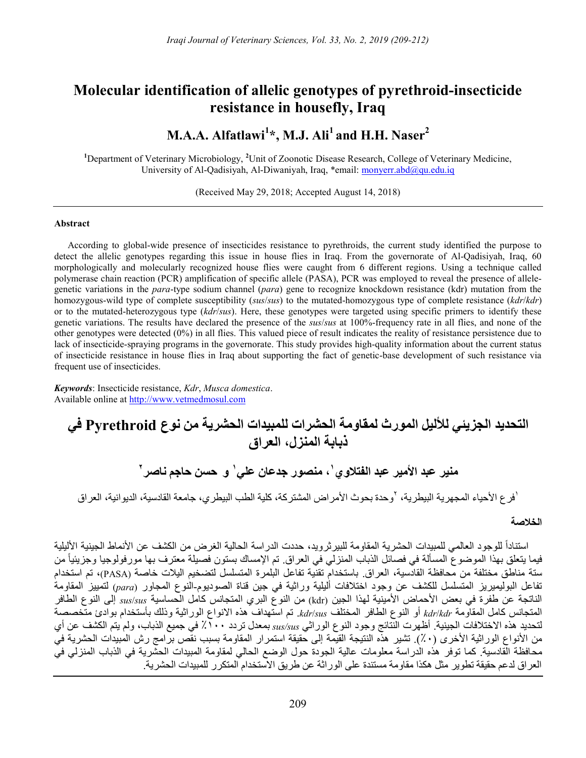# Molecular identification of allelic genotypes of pyrethroid-insecticide resistance in housefly, Iraq

# M.A.A. Alfatlawi<sup>1\*</sup>, M.J. Ali<sup>1</sup> and H.H. Naser<sup>2</sup>

<sup>1</sup>Department of Veterinary Microbiology, <sup>2</sup>Unit of Zoonotic Disease Research, College of Veterinary Medicine, University of Al-Qadisiyah, Al-Diwaniyah, Iraq, \*email: monyerr.abd@qu.edu.iq

(Received May 29, 2018; Accepted August 14, 2018)

#### Abstract

According to global-wide presence of insecticides resistance to pyrethroids, the current study identified the purpose to detect the allelic genotypes regarding this issue in house flies in Iraq. From the governorate of Al-Qadisiyah, Iraq, 60 morphologically and molecularly recognized house flies were caught from 6 different regions. Using a technique called polymerase chain reaction (PCR) amplification of specific allele (PASA), PCR was employed to reveal the presence of allelegenetic variations in the para-type sodium channel (para) gene to recognize knockdown resistance (kdr) mutation from the homozygous-wild type of complete susceptibility (sus/sus) to the mutated-homozygous type of complete resistance ( $kdr/kdr$ ) or to the mutated-heterozygous type (kdr/sus). Here, these genotypes were targeted using specific primers to identify these genetic variations. The results have declared the presence of the *sus/sus* at 100%-frequency rate in all flies, and none of the other genotypes were detected (0%) in all flies. This valued piece of result indicates the reality of resistance persistence due to lack of insecticide-spraying programs in the governorate. This study provides high-quality information about the current status of insecticide resistance in house flies in Iraq about supporting the fact of genetic-base development of such resistance via frequent use of insecticides.

Keywords: Insecticide resistance, Kdr, Musca domestica. Available online at http://www.vetmedmosul.com

# التحديد الجزيئي للأليل المورث لمقاومة الحشرات للمبيدات الحشرية من نوع Pyrethroid في ذبابة المنزل، العراق

منير عبد الأمير عبد الفتلاوي٬ ، منصور جدعان علي٬ و حسن حاجم ناصر٬

<sup>י</sup>فرع الأحياء المجهرية البيطرية، <sup>ل</sup>وحدة بحوث الأمراض المشتركة، كلية الطب البيطري، جامعة القادسية، الديوانية، العراق

## الخلاصة

استناداً للوجود العالمي للمبيدات الحشرية المقاومة للبيرثرويد، حددت الدراسة الحالية الغرض من الكشف عن الأنماط الجينية الأليلية فيما يتعلق بهذا الموضوع المسألة في فصائل الذباب المنزلي في العراق. تم الإمساك بستون فصيلة معترف بها مورفولوجيا وجزيئياً من ستة مناطق مختلفة من محافظة القادسية، العراق. باستخدام تقنية تفاعل البلمرة المتسلسل لتضخيم اليلات خاصة (PASA(، تم استخدام تفاعل البوليميريز المتسلسل للكشف عن وجود اختلافات أليلية وراثية في جين قناة الصوديوم-النوع المجاور (para (لتمييز المقاومة الناتجة عن طفرة في بعض الأحماض الأمينية لهذا الجين (kdr) من النوع البري المتجانس كامل الحساسية  $\sin/s u$  إلى النوع الطافر المتجانس كامل المقاومة kdr/kdr أو النوع الطافر المختلف kdr/sus. تم استهداف هذه الانواع الوراثية وذلك بأستخدام بوادئ متخصصة لتحديد هذه الاختلافات الجينية. أظهرت النتائج وجود النوع الوراثي sus/sus بمعدل تردد ٪١٠٠ في جميع الذباب، ولم يتم الكشف عن أي من الأنواع الوراثية الأخرى (٪٠). تشير هذه النتيجة القيمة إلى حقيقة استمرار المقاومة بسبب نقص برامج رش المبيدات الحشرية في محافظة القادسية. كما توفر هذه الدراسة معلومات عالية الجودة حول الوضع الحالي لمقاومة المبيدات الحشرية في الذباب المنزلي في العراق لدعم حقيقة تطوير مثل هكذا مقاومة مستندة على الوراثة عن طريق الاستخدام المتكرر للمبيدات الحشرية.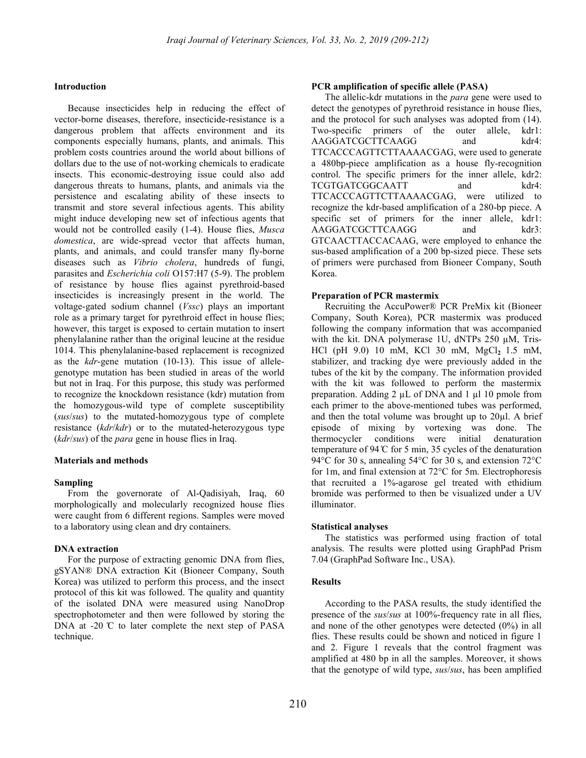#### **Introduction**

Because insecticides help in reducing the effect of vector-borne diseases, therefore, insecticide-resistance is a dangerous problem that affects environment and its components especially humans, plants, and animals. This problem costs countries around the world about billions of dollars due to the use of not-working chemicals to eradicate insects. This economic-destroying issue could also add dangerous threats to humans, plants, and animals via the persistence and escalating ability of these insects to transmit and store several infectious agents. This ability might induce developing new set of infectious agents that would not be controlled easily (1-4). House flies, *Musca* domestica, are wide-spread vector that affects human, plants, and animals, and could transfer many fly-borne diseases such as Vibrio cholera, hundreds of fungi, parasites and Escherichia coli O157:H7 (5-9). The problem of resistance by house flies against pyrethroid-based insecticides is increasingly present in the world. The voltage-gated sodium channel (Vssc) plays an important role as a primary target for pyrethroid effect in house flies; however, this target is exposed to certain mutation to insert phenylalanine rather than the original leucine at the residue 1014. This phenylalanine-based replacement is recognized as the kdr-gene mutation (10-13). This issue of allelegenotype mutation has been studied in areas of the world but not in Iraq. For this purpose, this study was performed to recognize the knockdown resistance (kdr) mutation from the homozygous-wild type of complete susceptibility (sus/sus) to the mutated-homozygous type of complete resistance (kdr/kdr) or to the mutated-heterozygous type (kdr/sus) of the *para* gene in house flies in Iraq.

#### Materials and methods

### Sampling

From the governorate of Al-Qadisiyah, Iraq, 60 morphologically and molecularly recognized house flies were caught from 6 different regions. Samples were moved to a laboratory using clean and dry containers.

#### DNA extraction

For the purpose of extracting genomic DNA from flies, gSYAN® DNA extraction Kit (Bioneer Company, South Korea) was utilized to perform this process, and the insect protocol of this kit was followed. The quality and quantity of the isolated DNA were measured using NanoDrop spectrophotometer and then were followed by storing the DNA at -20  $\degree$ C to later complete the next step of PASA technique.

#### PCR amplification of specific allele (PASA)

The allelic-kdr mutations in the *para* gene were used to detect the genotypes of pyrethroid resistance in house flies, and the protocol for such analyses was adopted from (14). Two-specific primers of the outer allele, kdr1: AAGGATCGCTTCAAGG and kdr4: TTCACCCAGTTCTTAAAACGAG, were used to generate a 480bp-piece amplification as a house fly-recognition control. The specific primers for the inner allele, kdr2: TCGTGATCGGCAATT and kdr4: TTCACCCAGTTCTTAAAACGAG, were utilized to recognize the kdr-based amplification of a 280-bp piece. A specific set of primers for the inner allele, kdr1: AAGGATCGCTTCAAGG and kdr3: GTCAACTTACCACAAG, were employed to enhance the sus-based amplification of a 200 bp-sized piece. These sets of primers were purchased from Bioneer Company, South Korea.

#### Preparation of PCR mastermix

Recruiting the AccuPower® PCR PreMix kit (Bioneer Company, South Korea), PCR mastermix was produced following the company information that was accompanied with the kit. DNA polymerase 1U, dNTPs 250 µM, Tris-HCl (pH 9.0) 10 mM, KCl 30 mM,  $MgCl_2$  1.5 mM, stabilizer, and tracking dye were previously added in the tubes of the kit by the company. The information provided with the kit was followed to perform the mastermix preparation. Adding 2 µL of DNA and 1 µl 10 pmole from each primer to the above-mentioned tubes was performed, and then the total volume was brought up to  $20\mu$ l. A brief episode of mixing by vortexing was done. The thermocycler conditions were initial denaturation temperature of 94  $\mathbb C$  for 5 min, 35 cycles of the denaturation 94°C for 30 s, annealing 54°C for 30 s, and extension 72°C for 1m, and final extension at 72°C for 5m. Electrophoresis that recruited a 1%-agarose gel treated with ethidium bromide was performed to then be visualized under a UV illuminator.

#### Statistical analyses

The statistics was performed using fraction of total analysis. The results were plotted using GraphPad Prism 7.04 (GraphPad Software Inc., USA).

## **Results**

According to the PASA results, the study identified the presence of the sus/sus at 100%-frequency rate in all flies, and none of the other genotypes were detected (0%) in all flies. These results could be shown and noticed in figure 1 and 2. Figure 1 reveals that the control fragment was amplified at 480 bp in all the samples. Moreover, it shows that the genotype of wild type, sus/sus, has been amplified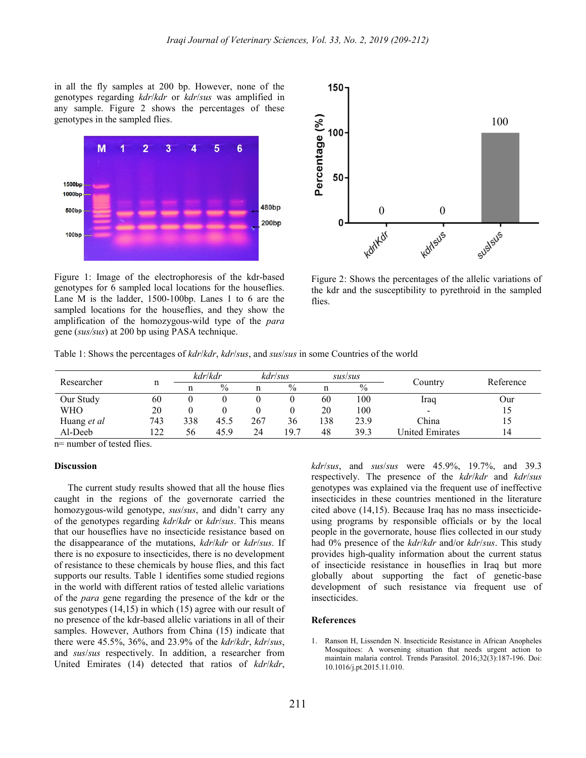in all the fly samples at 200 bp. However, none of the genotypes regarding kdr/kdr or kdr/sus was amplified in any sample. Figure 2 shows the percentages of these genotypes in the sampled flies.



Figure 1: Image of the electrophoresis of the kdr-based genotypes for 6 sampled local locations for the houseflies. Lane M is the ladder, 1500-100bp. Lanes 1 to 6 are the sampled locations for the houseflies, and they show the amplification of the homozygous-wild type of the para gene (sus/sus) at 200 bp using PASA technique.



Figure 2: Shows the percentages of the allelic variations of the kdr and the susceptibility to pyrethroid in the sampled flies.

Table 1: Shows the percentages of *kdr/kdr, kdr/sus*, and *sus/sus* in some Countries of the world

| Researcher  | 11  | kdr/kdr |      | kdr/sus |               | sus/sus |               |                          | Reference |
|-------------|-----|---------|------|---------|---------------|---------|---------------|--------------------------|-----------|
|             |     |         | $\%$ | n       | $\frac{0}{0}$ | n       | $\frac{0}{0}$ | Country                  |           |
| Our Study   | 60  |         |      |         |               | 60      | 100           | Iraq                     | Our       |
| <b>WHO</b>  | 20  |         |      |         |               | 20      | 100           | $\overline{\phantom{0}}$ |           |
| Huang et al | 743 | 338     | 45.5 | 267     | 36            | 138     | 23.9          | China                    |           |
| Al-Deeb     | 122 | 56      | 45.9 | 24      | 19.7          | 48      | 39.3          | United Emirates          | 14        |

n= number of tested flies.

#### **Discussion**

The current study results showed that all the house flies caught in the regions of the governorate carried the homozygous-wild genotype, *sus/sus*, and didn't carry any of the genotypes regarding kdr/kdr or kdr/sus. This means that our houseflies have no insecticide resistance based on the disappearance of the mutations, kdr/kdr or kdr/sus. If there is no exposure to insecticides, there is no development of resistance to these chemicals by house flies, and this fact supports our results. Table 1 identifies some studied regions in the world with different ratios of tested allelic variations of the para gene regarding the presence of the kdr or the sus genotypes (14,15) in which (15) agree with our result of no presence of the kdr-based allelic variations in all of their samples. However, Authors from China (15) indicate that there were 45.5%, 36%, and 23.9% of the kdr/kdr, kdr/sus, and sus/sus respectively. In addition, a researcher from United Emirates (14) detected that ratios of kdr/kdr,

kdr/sus, and sus/sus were 45.9%, 19.7%, and 39.3 respectively. The presence of the kdr/kdr and kdr/sus genotypes was explained via the frequent use of ineffective insecticides in these countries mentioned in the literature cited above (14,15). Because Iraq has no mass insecticideusing programs by responsible officials or by the local people in the governorate, house flies collected in our study had 0% presence of the *kdr/kdr* and/or *kdr/sus*. This study provides high-quality information about the current status of insecticide resistance in houseflies in Iraq but more globally about supporting the fact of genetic-base development of such resistance via frequent use of insecticides.

#### References

1. Ranson H, Lissenden N. Insecticide Resistance in African Anopheles Mosquitoes: A worsening situation that needs urgent action to maintain malaria control. Trends Parasitol. 2016;32(3):187-196. Doi: 10.1016/j.pt.2015.11.010.